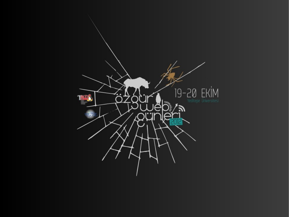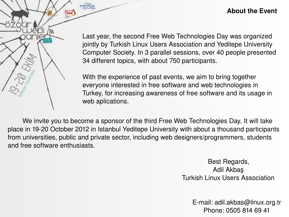## **About the Event**

Last year, the second Free Web Technologies Day was organized jointly by Turkish Linux Users Association and Yeditepe University Computer Society. In 3 parallel sessions, over 40 people presented 34 different topics, with about 750 participants.

With the experience of past events, we aim to bring together everyone interested in free software and web technologies in Turkey, for increasing awareness of free software and its usage in web aplications.

We invite you to become a sponsor of the third Free Web Technologies Day, It will take place in 19-20 October 2012 in Istanbul Yeditepe University with about a thousand participants from universities, public and private sector, including web designers/programmers, students and free software enthusiasts.

> Best Regards, Adil Akbaş Turkish Linux Users Association

> > E-mail: adil.akbas@linux.org.tr Phone: 0505 814 69 41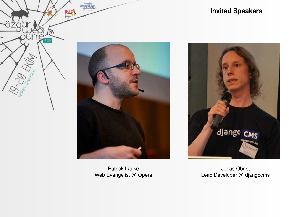

Patrick Lauke Web Evangelist @ Opera

## **Invited Speakers**



Jonas Obrist Lead Developer @ djangocms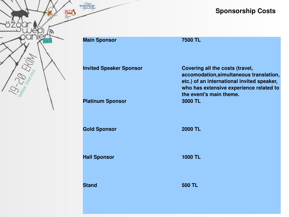

# **Sponsorship Costs**

| <b>Main Sponsor</b>            | 7500 TL                                                                                                                                                                                        |
|--------------------------------|------------------------------------------------------------------------------------------------------------------------------------------------------------------------------------------------|
| <b>Invited Speaker Sponsor</b> | Covering all the costs (travel,<br>accomodation, simultaneous translation,<br>etc.) of an international invited speaker,<br>who has extensive experience related to<br>the event's main theme. |
| <b>Platinum Sponsor</b>        | 3000 TL                                                                                                                                                                                        |
| <b>Gold Sponsor</b>            | <b>2000 TL</b>                                                                                                                                                                                 |
| <b>Hall Sponsor</b>            | <b>1000 TL</b>                                                                                                                                                                                 |
| <b>Stand</b>                   | <b>500 TL</b>                                                                                                                                                                                  |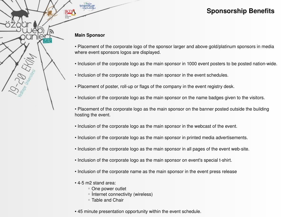## **Sponsorship Benefits**

#### **Main Sponsor**

- Placement of the corporate logo of the sponsor larger and above gold/platinum sponsors in media where event sponsors logos are displayed.
- Inclusion of the corporate logo as the main sponsor in 1000 event posters to be posted nation-wide.
- Inclusion of the corporate logo as the main sponsor in the event schedules.
- Placement of poster, roll-up or flags of the company in the event registry desk.
- Inclusion of the corporate logo as the main sponsor on the name badges given to the visitors.
- Placement of the corporate logo as the main sponsor on the banner posted outside the building hosting the event.
- Inclusion of the corporate logo as the main sponsor in the webcast of the event.
- Inclusion of the corporate logo as the main sponsor in printed media advertisements.
- Inclusion of the corporate logo as the main sponsor in all pages of the event web-site.
- Inclusion of the corporate logo as the main sponsor on event's special t-shirt.
- Inclusion of the corporate name as the main sponsor in the event press release
- 4-5 m2 stand area:
	- One power outlet
	- İnternet connectivity (wireless)
	- Table and Chair
- 45 minute presentation opportunity within the event schedule.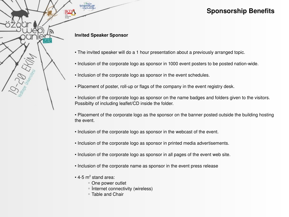## **Sponsorship Benefits**

#### **Invited Speaker Sponsor**

- The invited speaker will do a 1 hour presentation about a previously arranged topic.
- Inclusion of the corporate logo as sponsor in 1000 event posters to be posted nation-wide.
- Inclusion of the corporate logo as sponsor in the event schedules.
- Placement of poster, roll-up or flags of the company in the event registry desk.

• Inclusion of the corporate logo as sponsor on the name badges and folders given to the visitors. Possibilty of including leaflet/CD inside the folder.

• Placement of the corporate logo as the sponsor on the banner posted outside the building hosting the event.

- Inclusion of the corporate logo as sponsor in the webcast of the event.
- Inclusion of the corporate logo as sponsor in printed media advertisements.
- Inclusion of the corporate logo as sponsor in all pages of the event web site.
- Inclusion of the corporate name as sponsor in the event press release
- $\cdot$  4-5 m<sup>2</sup> stand area:
	- One power outlet
	- İnternet connectivity (wireless)
	- Table and Chair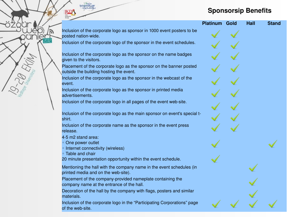## **Sponsorsip Benefits**

|                                                                                                                | <b>Platinum</b> | Gold | <b>Hall</b> | <b>Stand</b> |
|----------------------------------------------------------------------------------------------------------------|-----------------|------|-------------|--------------|
| Inclusion of the corporate logo as sponsor in 1000 event posters to be<br>posted nation-wide.                  |                 |      |             |              |
| Inclusion of the corporate logo of the sponsor in the event schedules.                                         |                 |      |             |              |
| Inclusion of the corporate logo as the sponsor on the name badges<br>given to the visitors.                    |                 |      |             |              |
| Placement of the corporate logo as the sponsor on the banner posted<br>outside the building hosting the event. |                 |      |             |              |
| Inclusion of the corporate logo as the sponsor in the webcast of the<br>event.                                 |                 |      |             |              |
| Inclusion of the corporate logo as the sponsor in printed media<br>advertisements.                             |                 |      |             |              |
| Inclusion of the corporate logo in all pages of the event web-site.                                            |                 |      |             |              |
| Inclusion of the corporate logo as the main sponsor on event's special t-<br>shirt.                            |                 |      |             |              |
| Inclusion of the corporate name as the sponsor in the event press<br>release.                                  |                 |      |             |              |
| 4-5 m2 stand area:<br>• One power outlet<br>• Internet connectivity (wireless)<br>• Table and chair            |                 |      |             |              |
| 20 minute presentation opportunity within the event schedule.                                                  |                 |      |             |              |
| Mentioning the hall with the company name in the event schedules (in<br>printed media and on the web-site).    |                 |      |             |              |
| Placement of the company-provided nameplate containing the<br>company name at the entrance of the hall.        |                 |      |             |              |
| Decoration of the hall by the company with flags, posters and similar<br>materials.                            |                 |      |             |              |
| Inclusion of the corporate logo in the "Participating Corporations" page<br>of the web-site.                   |                 |      |             |              |

 $\overline{\text{RD}}$ 

e Est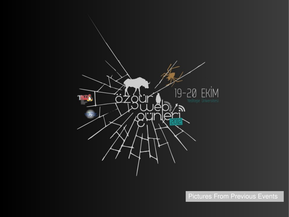

Pictures From Previous Events